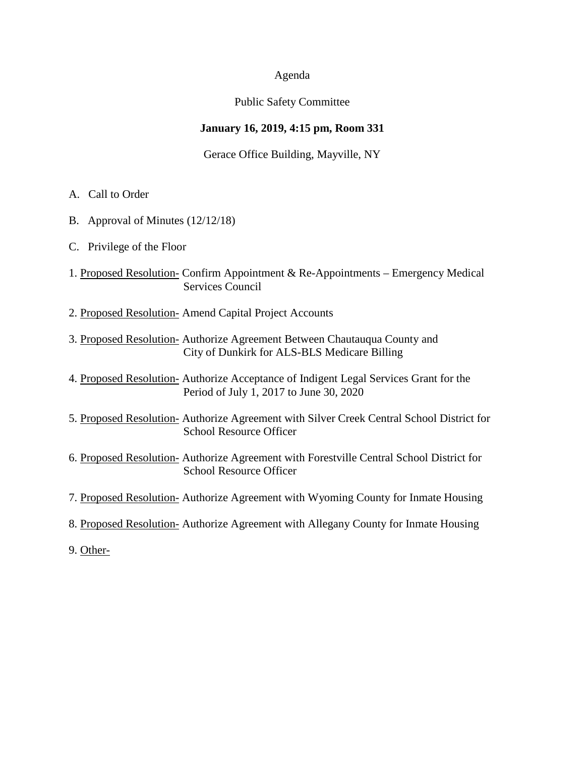### Agenda

## Public Safety Committee

## **January 16, 2019, 4:15 pm, Room 331**

Gerace Office Building, Mayville, NY

- A. Call to Order
- B. Approval of Minutes (12/12/18)
- C. Privilege of the Floor
- 1. Proposed Resolution- Confirm Appointment & Re-Appointments Emergency Medical Services Council
- 2. Proposed Resolution- Amend Capital Project Accounts
- 3. Proposed Resolution- Authorize Agreement Between Chautauqua County and City of Dunkirk for ALS-BLS Medicare Billing
- 4. Proposed Resolution- Authorize Acceptance of Indigent Legal Services Grant for the Period of July 1, 2017 to June 30, 2020
- 5. Proposed Resolution- Authorize Agreement with Silver Creek Central School District for School Resource Officer
- 6. Proposed Resolution- Authorize Agreement with Forestville Central School District for School Resource Officer
- 7. Proposed Resolution- Authorize Agreement with Wyoming County for Inmate Housing
- 8. Proposed Resolution- Authorize Agreement with Allegany County for Inmate Housing
- 9. Other-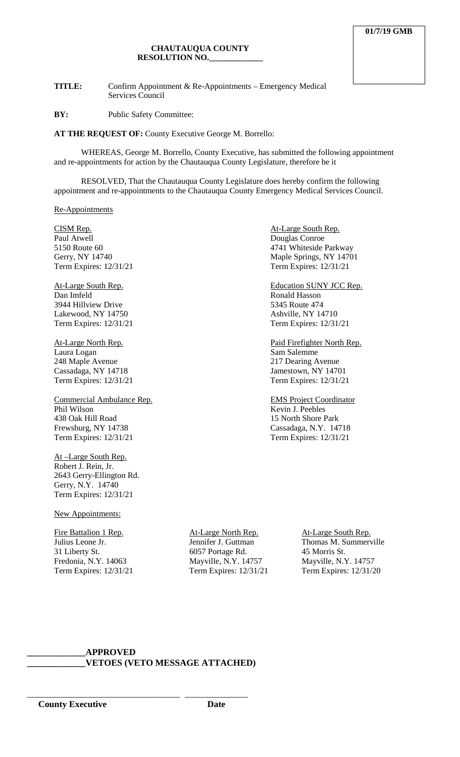**TITLE:** Confirm Appointment & Re-Appointments – Emergency Medical Services Council

**BY:** Public Safety Committee:

**AT THE REQUEST OF:** County Executive George M. Borrello:

WHEREAS, George M. Borrello, County Executive, has submitted the following appointment and re-appointments for action by the Chautauqua County Legislature, therefore be it

RESOLVED, That the Chautauqua County Legislature does hereby confirm the following appointment and re-appointments to the Chautauqua County Emergency Medical Services Council.

Re-Appointments

CISM Rep. **CISM Rep. At-Large South Rep.** 

Paul Atwell<br>
5150 Route 60<br>
5150 Route 60<br>
<sup>4741</sup> Whiteside

Dan Imfeld Ronald Hasson 3944 Hillview Drive 5345 Route 474<br>
Lakewood, NY 14750 688 Ashville, NY 14710 Lakewood, NY 14750<br>
Term Expires: 12/31/21<br>
Term Expires: 12/31/21<br>
Term Expires: 12/31/21 Term Expires: 12/31/21

Laura Logan 248 Maple Avenue 217 Dearing Avenue<br>
Cassadaga, NY 14718 Jamestown, NY 1470 Term Expires: 12/31/21 Term Expires: 12/31/21

Commercial Ambulance Rep. EMS Project Coordinator Phil Wilson Kevin J. Peebles 438 Oak Hill Road 15 North Shore Park<br>Frewsburg, NY 14738 Cassadaga, N.Y. 14 Term Expires: 12/31/21

At –Large South Rep. Robert J. Rein, Jr. 2643 Gerry-Ellington Rd. Gerry, N.Y. 14740 Term Expires: 12/31/21

New Appointments:

Fire Battalion 1 Rep.  $A t$ -Large North Rep.  $A t$ -Large South Rep. 31 Liberty St. 6057 Portage Rd. 45 Morris St. 45 Fredonia, N.Y. 14063 Mayville, N.Y. 14757 Mayville, N.Y. 14757

Term Expires:  $12/31/21$ 

4741 Whiteside Parkway Gerry, NY 14740<br>
Term Expires: 12/31/21<br>
Term Expires: 12/31/21<br>
Term Expires: 12/31/21 Term Expires:  $12/31/21$ At-Large South Rep. Education SUNY JCC Rep.

At-Large North Rep.<br>
Laura Logan<br>
Laura Logan<br>
Sam Salemme Jamestown, NY 14701

Cassadaga, N.Y. 14718<br>Term Expires: 12/31/21

Julius Leone Jr. Jennifer J. Guttman Thomas M. Summerville Fredonia, N.Y. 14063 Mayville, N.Y. 14757 Mayville, N.Y. 14757<br>
Term Expires: 12/31/21 Term Expires: 12/31/20

#### **\_\_\_\_\_\_\_\_\_\_\_\_\_APPROVED \_\_\_\_\_\_\_\_\_\_\_\_\_VETOES (VETO MESSAGE ATTACHED)**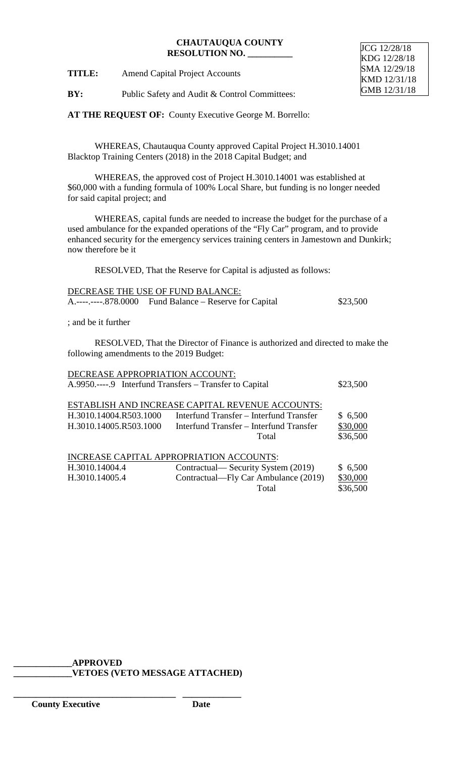**TITLE:** Amend Capital Project Accounts

JCG 12/28/18 KDG 12/28/18 SMA 12/29/18 KMD 12/31/18 GMB 12/31/18

**BY:** Public Safety and Audit & Control Committees:

**AT THE REQUEST OF:** County Executive George M. Borrello:

WHEREAS, Chautauqua County approved Capital Project H.3010.14001 Blacktop Training Centers (2018) in the 2018 Capital Budget; and

WHEREAS, the approved cost of Project H.3010.14001 was established at \$60,000 with a funding formula of 100% Local Share, but funding is no longer needed for said capital project; and

WHEREAS, capital funds are needed to increase the budget for the purchase of a used ambulance for the expanded operations of the "Fly Car" program, and to provide enhanced security for the emergency services training centers in Jamestown and Dunkirk; now therefore be it

RESOLVED, That the Reserve for Capital is adjusted as follows:

| DECREASE THE USE OF FUND BALANCE: |                                                         |          |  |
|-----------------------------------|---------------------------------------------------------|----------|--|
|                                   | A.----.----.878.0000 Fund Balance – Reserve for Capital | \$23,500 |  |

; and be it further

RESOLVED, That the Director of Finance is authorized and directed to make the following amendments to the 2019 Budget:

| DECREASE APPROPRIATION ACCOUNT:                         |                                                  |          |  |
|---------------------------------------------------------|--------------------------------------------------|----------|--|
| A.9950.----.9 Interfund Transfers – Transfer to Capital |                                                  | \$23,500 |  |
|                                                         |                                                  |          |  |
|                                                         | ESTABLISH AND INCREASE CAPITAL REVENUE ACCOUNTS: |          |  |
| H.3010.14004.R503.1000                                  | Interfund Transfer – Interfund Transfer          | \$6,500  |  |
| H.3010.14005.R503.1000                                  | Interfund Transfer – Interfund Transfer          | \$30,000 |  |
|                                                         | Total                                            | \$36,500 |  |
| INCREASE CAPITAL APPROPRIATION ACCOUNTS:                |                                                  |          |  |
| H.3010.14004.4                                          | Contractual— Security System (2019)              | \$6,500  |  |
| H.3010.14005.4                                          | Contractual—Fly Car Ambulance (2019)             | \$30,000 |  |
|                                                         | Total                                            | \$36,500 |  |
|                                                         |                                                  |          |  |

**\_\_\_\_\_\_\_\_\_\_\_\_\_APPROVED**

**\_\_\_\_\_\_\_\_\_\_\_\_\_\_\_\_\_\_\_\_\_\_\_\_\_\_\_\_\_\_\_\_\_\_\_\_ \_\_\_\_\_\_\_\_\_\_\_\_\_**

**\_\_\_\_\_\_\_\_\_\_\_\_\_VETOES (VETO MESSAGE ATTACHED)**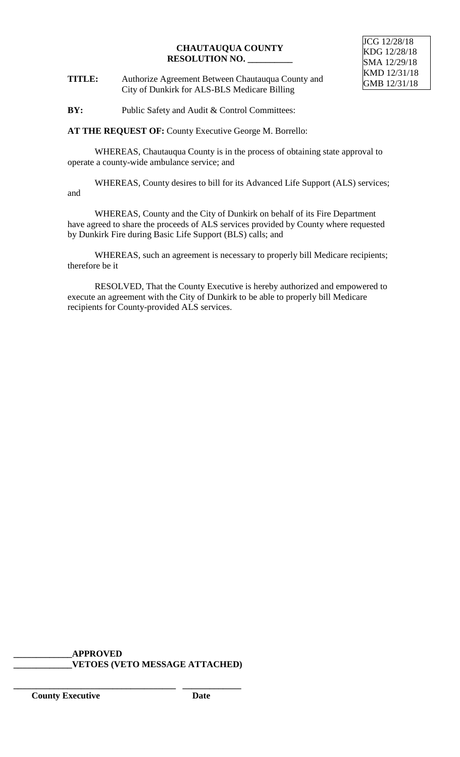**TITLE:** Authorize Agreement Between Chautauqua County and City of Dunkirk for ALS-BLS Medicare Billing

**BY:** Public Safety and Audit & Control Committees:

**AT THE REQUEST OF:** County Executive George M. Borrello:

WHEREAS, Chautauqua County is in the process of obtaining state approval to operate a county-wide ambulance service; and

WHEREAS, County desires to bill for its Advanced Life Support (ALS) services; and

WHEREAS, County and the City of Dunkirk on behalf of its Fire Department have agreed to share the proceeds of ALS services provided by County where requested by Dunkirk Fire during Basic Life Support (BLS) calls; and

WHEREAS, such an agreement is necessary to properly bill Medicare recipients; therefore be it

RESOLVED, That the County Executive is hereby authorized and empowered to execute an agreement with the City of Dunkirk to be able to properly bill Medicare recipients for County-provided ALS services.

## **\_\_\_\_\_\_\_\_\_\_\_\_\_APPROVED \_\_\_\_\_\_\_\_\_\_\_\_\_VETOES (VETO MESSAGE ATTACHED)**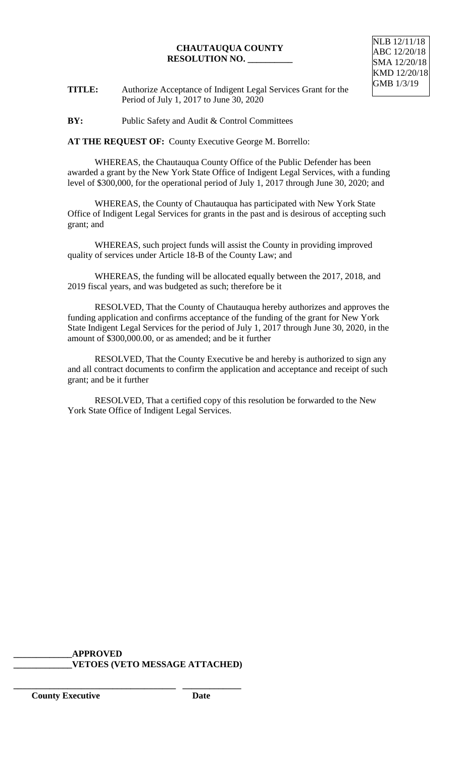

**TITLE:** Authorize Acceptance of Indigent Legal Services Grant for the Period of July 1, 2017 to June 30, 2020

**BY:** Public Safety and Audit & Control Committees

**AT THE REQUEST OF:** County Executive George M. Borrello:

WHEREAS, the Chautauqua County Office of the Public Defender has been awarded a grant by the New York State Office of Indigent Legal Services, with a funding level of \$300,000, for the operational period of July 1, 2017 through June 30, 2020; and

WHEREAS, the County of Chautauqua has participated with New York State Office of Indigent Legal Services for grants in the past and is desirous of accepting such grant; and

WHEREAS, such project funds will assist the County in providing improved quality of services under Article 18-B of the County Law; and

WHEREAS, the funding will be allocated equally between the 2017, 2018, and 2019 fiscal years, and was budgeted as such; therefore be it

RESOLVED, That the County of Chautauqua hereby authorizes and approves the funding application and confirms acceptance of the funding of the grant for New York State Indigent Legal Services for the period of July 1, 2017 through June 30, 2020, in the amount of \$300,000.00, or as amended; and be it further

RESOLVED, That the County Executive be and hereby is authorized to sign any and all contract documents to confirm the application and acceptance and receipt of such grant; and be it further

RESOLVED, That a certified copy of this resolution be forwarded to the New York State Office of Indigent Legal Services.

**\_\_\_\_\_\_\_\_\_\_\_\_\_APPROVED \_\_\_\_\_\_\_\_\_\_\_\_\_VETOES (VETO MESSAGE ATTACHED)**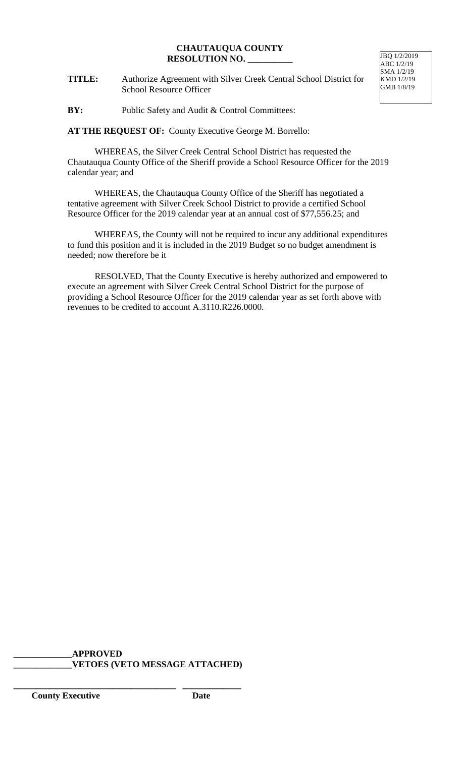**TITLE:** Authorize Agreement with Silver Creek Central School District for School Resource Officer

JBQ 1/2/2019  $ABC$  1/2/19 SMA 1/2/19 KMD 1/2/19 GMB 1/8/19

**BY:** Public Safety and Audit & Control Committees:

**AT THE REQUEST OF:** County Executive George M. Borrello:

WHEREAS, the Silver Creek Central School District has requested the Chautauqua County Office of the Sheriff provide a School Resource Officer for the 2019 calendar year; and

WHEREAS, the Chautauqua County Office of the Sheriff has negotiated a tentative agreement with Silver Creek School District to provide a certified School Resource Officer for the 2019 calendar year at an annual cost of \$77,556.25; and

WHEREAS, the County will not be required to incur any additional expenditures to fund this position and it is included in the 2019 Budget so no budget amendment is needed; now therefore be it

RESOLVED, That the County Executive is hereby authorized and empowered to execute an agreement with Silver Creek Central School District for the purpose of providing a School Resource Officer for the 2019 calendar year as set forth above with revenues to be credited to account A.3110.R226.0000.

## **\_\_\_\_\_\_\_\_\_\_\_\_\_APPROVED \_\_\_\_\_\_\_\_\_\_\_\_\_VETOES (VETO MESSAGE ATTACHED)**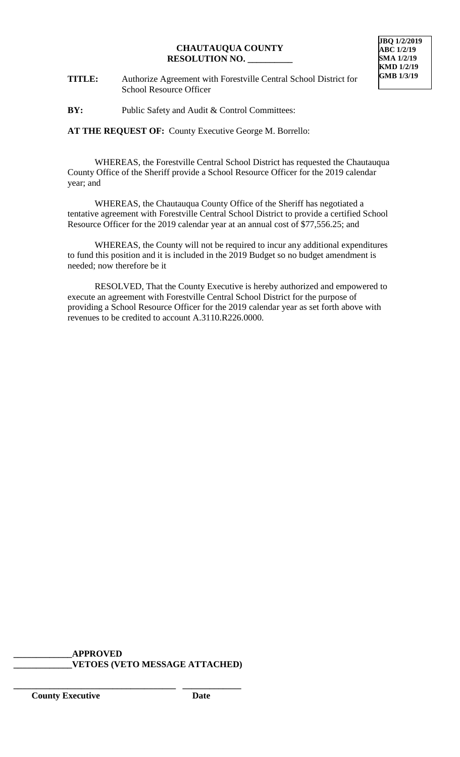

- **TITLE:** Authorize Agreement with Forestville Central School District for School Resource Officer
- **BY:** Public Safety and Audit & Control Committees:

**AT THE REQUEST OF:** County Executive George M. Borrello:

WHEREAS, the Forestville Central School District has requested the Chautauqua County Office of the Sheriff provide a School Resource Officer for the 2019 calendar year; and

WHEREAS, the Chautauqua County Office of the Sheriff has negotiated a tentative agreement with Forestville Central School District to provide a certified School Resource Officer for the 2019 calendar year at an annual cost of \$77,556.25; and

WHEREAS, the County will not be required to incur any additional expenditures to fund this position and it is included in the 2019 Budget so no budget amendment is needed; now therefore be it

RESOLVED, That the County Executive is hereby authorized and empowered to execute an agreement with Forestville Central School District for the purpose of providing a School Resource Officer for the 2019 calendar year as set forth above with revenues to be credited to account A.3110.R226.0000.

**\_\_\_\_\_\_\_\_\_\_\_\_\_APPROVED \_\_\_\_\_\_\_\_\_\_\_\_\_VETOES (VETO MESSAGE ATTACHED)**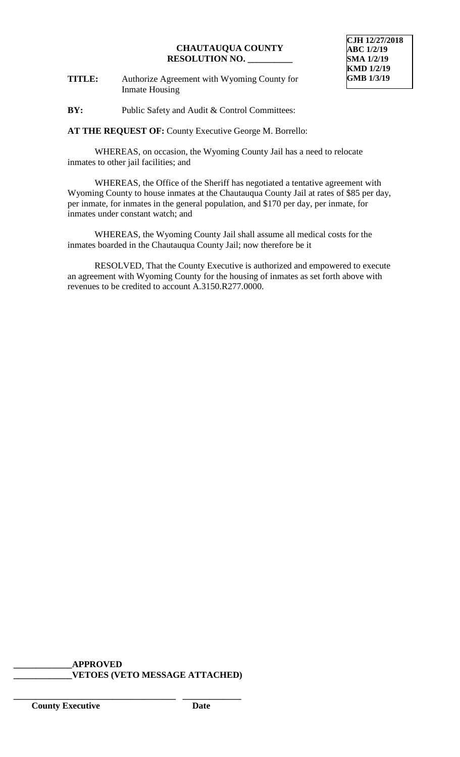**TITLE:** Authorize Agreement with Wyoming County for Inmate Housing

**BY:** Public Safety and Audit & Control Committees:

**AT THE REQUEST OF:** County Executive George M. Borrello:

WHEREAS, on occasion, the Wyoming County Jail has a need to relocate inmates to other jail facilities; and

WHEREAS, the Office of the Sheriff has negotiated a tentative agreement with Wyoming County to house inmates at the Chautauqua County Jail at rates of \$85 per day, per inmate, for inmates in the general population, and \$170 per day, per inmate, for inmates under constant watch; and

WHEREAS, the Wyoming County Jail shall assume all medical costs for the inmates boarded in the Chautauqua County Jail; now therefore be it

RESOLVED, That the County Executive is authorized and empowered to execute an agreement with Wyoming County for the housing of inmates as set forth above with revenues to be credited to account A.3150.R277.0000.

#### **\_\_\_\_\_\_\_\_\_\_\_\_\_APPROVED \_\_\_\_\_\_\_\_\_\_\_\_\_VETOES (VETO MESSAGE ATTACHED)**